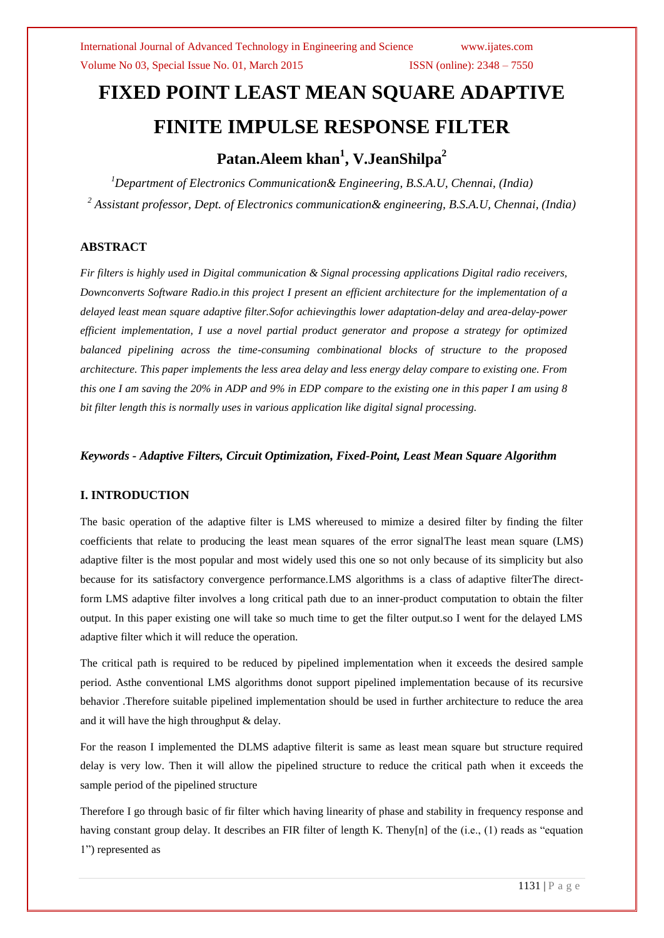#### Volume No 03, Special Issue No. 01, March 2015 ISSN (online): 2348 – 7550

# **FIXED POINT LEAST MEAN SQUARE ADAPTIVE FINITE IMPULSE RESPONSE FILTER**

## **Patan.Aleem khan<sup>1</sup> , V.JeanShilpa<sup>2</sup>**

*<sup>1</sup>Department of Electronics Communication& Engineering, B.S.A.U, Chennai, (India) <sup>2</sup> Assistant professor, Dept. of Electronics communication& engineering, B.S.A.U, Chennai, (India)*

#### **ABSTRACT**

*Fir filters is highly used in Digital communication & Signal processing applications Digital radio receivers, Downconverts Software Radio.in this project I present an efficient architecture for the implementation of a delayed least mean square adaptive filter.Sofor achievingthis lower adaptation-delay and area-delay-power efficient implementation, I use a novel partial product generator and propose a strategy for optimized balanced pipelining across the time-consuming combinational blocks of structure to the proposed architecture. This paper implements the less area delay and less energy delay compare to existing one. From this one I am saving the 20% in ADP and 9% in EDP compare to the existing one in this paper I am using 8 bit filter length this is normally uses in various application like digital signal processing.* 

*Keywords - Adaptive Filters, Circuit Optimization, Fixed-Point, Least Mean Square Algorithm*

#### **I. INTRODUCTION**

The basic operation of the adaptive filter is LMS whereused to mimize a desired filter by finding the filter coefficients that relate to producing the least mean squares of the error signalThe least mean square (LMS) adaptive filter is the most popular and most widely used this one so not only because of its simplicity but also because for its satisfactory convergence performance.LMS algorithms is a class of [adaptive filterT](http://en.wikipedia.org/wiki/Adaptive_filter)he directform LMS adaptive filter involves a long critical path due to an inner-product computation to obtain the filter output. In this paper existing one will take so much time to get the filter output.so I went for the delayed LMS adaptive filter which it will reduce the operation.

The critical path is required to be reduced by pipelined implementation when it exceeds the desired sample period. Asthe conventional LMS algorithms donot support pipelined implementation because of its recursive behavior .Therefore suitable pipelined implementation should be used in further architecture to reduce the area and it will have the high throughput & delay.

For the reason I implemented the DLMS adaptive filterit is same as least mean square but structure required delay is very low. Then it will allow the pipelined structure to reduce the critical path when it exceeds the sample period of the pipelined structure

Therefore I go through basic of fir filter which having linearity of phase and stability in frequency response and having constant group delay. It describes an FIR filter of length K. Theny[n] of the (i.e., (1) reads as "equation 1") represented as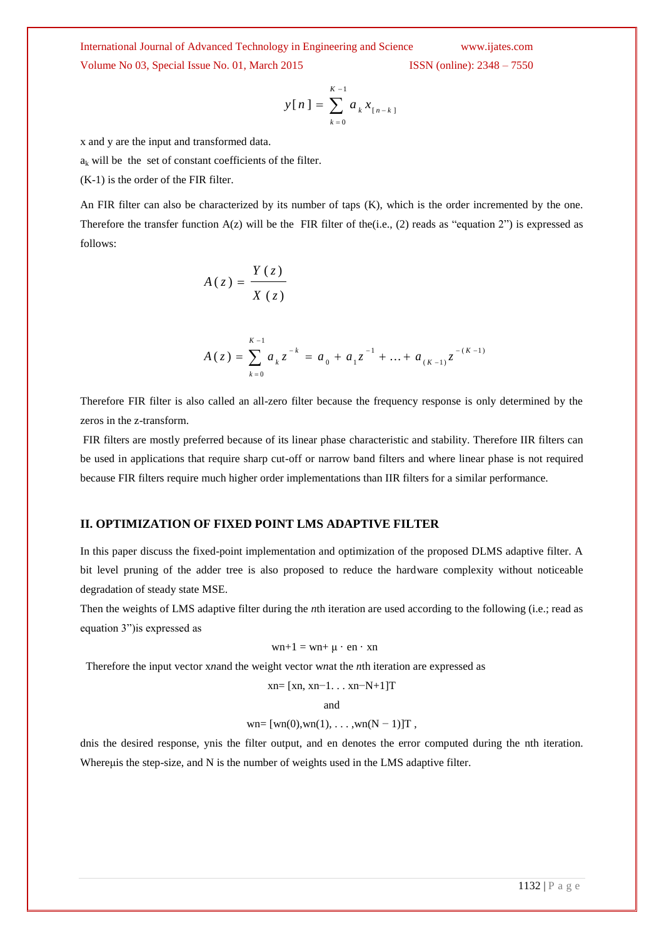Volume No 03, Special Issue No. 01, March 2015 ISSN (online): 2348 – 7550

$$
y[n] = \sum_{k=0}^{K-1} a_k x_{[n-k]}
$$

x and y are the input and transformed data.

 $a_k$  will be the set of constant coefficients of the filter.

(K-1) is the order of the FIR filter.

An FIR filter can also be characterized by its number of taps (K), which is the order incremented by the one. Therefore the transfer function  $A(z)$  will be the FIR filter of the(i.e., (2) reads as "equation 2") is expressed as follows:

$$
A(z) = \frac{Y(z)}{X(z)}
$$

$$
A(z) = \sum_{k=0}^{K-1} a_k z^{-k} = a_0 + a_1 z^{-1} + \dots + a_{(K-1)} z^{-(K-1)}
$$

Therefore FIR filter is also called an all-zero filter because the frequency response is only determined by the zeros in the z-transform.

FIR filters are mostly preferred because of its linear phase characteristic and stability. Therefore IIR filters can be used in applications that require sharp cut-off or narrow band filters and where linear phase is not required because FIR filters require much higher order implementations than IIR filters for a similar performance.

#### **II. OPTIMIZATION OF FIXED POINT LMS ADAPTIVE FILTER**

In this paper discuss the fixed-point implementation and optimization of the proposed DLMS adaptive filter. A bit level pruning of the adder tree is also proposed to reduce the hardware complexity without noticeable degradation of steady state MSE.

Then the weights of LMS adaptive filter during the *n*th iteration are used according to the following (i.e.; read as equation 3")is expressed as

$$
wn+1 = wn + \mu \cdot en \cdot xn
$$

Therefore the input vector x*n*and the weight vector w*n*at the *n*th iteration are expressed as

$$
xn = [xn, xn-1...xn-N+1]T
$$

and

wn=  $[wn(0), wn(1), \ldots, wn(N-1)]T$ ,

dnis the desired response, ynis the filter output, and en denotes the error computed during the nth iteration. Whereus the step-size, and N is the number of weights used in the LMS adaptive filter.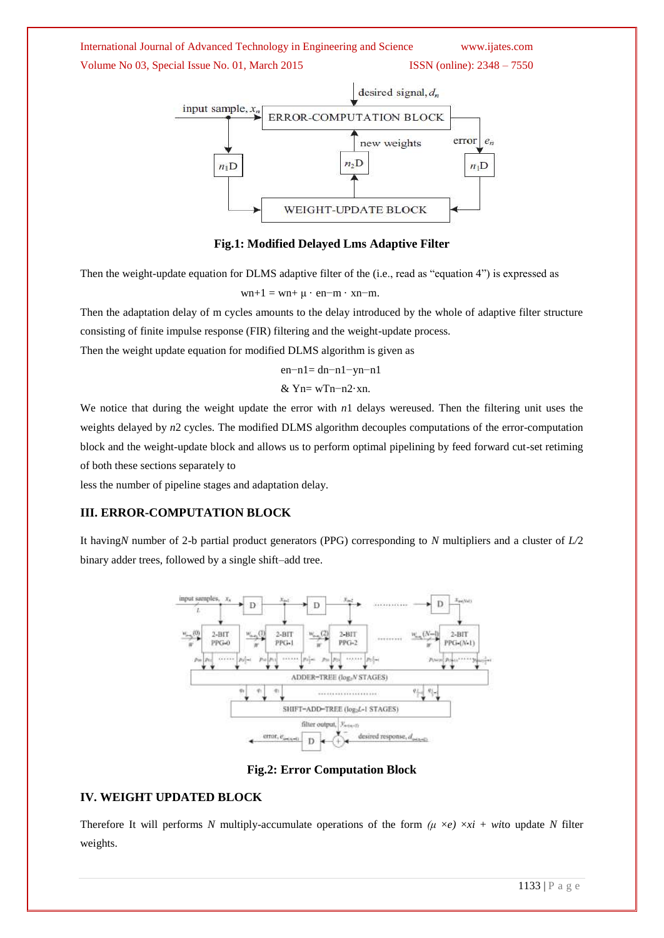### International Journal of Advanced Technology in Engineering and Science www.ijates.com Volume No 03, Special Issue No. 01, March 2015 ISSN (online): 2348 – 7550



**Fig.1: Modified Delayed Lms Adaptive Filter**

Then the weight-update equation for DLMS adaptive filter of the (i.e., read as "equation 4") is expressed as

 $wn+1 = wn+\mu \cdot en-m \cdot xn-m.$ 

Then the adaptation delay of m cycles amounts to the delay introduced by the whole of adaptive filter structure consisting of finite impulse response (FIR) filtering and the weight-update process.

Then the weight update equation for modified DLMS algorithm is given as

$$
en-n1 = dn-n1 - yn-n1
$$

$$
\&\ Yn\!\!=\!wTn\!\!-\!\!n2\!\cdot\!xn.
$$

We notice that during the weight update the error with  $n_1$  delays wereused. Then the filtering unit uses the weights delayed by *n*2 cycles. The modified DLMS algorithm decouples computations of the error-computation block and the weight-update block and allows us to perform optimal pipelining by feed forward cut-set retiming of both these sections separately to

less the number of pipeline stages and adaptation delay.

#### **III. ERROR-COMPUTATION BLOCK**

It having*N* number of 2-b partial product generators (PPG) corresponding to *N* multipliers and a cluster of *L/*2 binary adder trees, followed by a single shift–add tree.



**Fig.2: Error Computation Block**

#### **IV. WEIGHT UPDATED BLOCK**

Therefore It will performs *N* multiply-accumulate operations of the form  $(\mu \times e) \times x$  + *wi*to update *N* filter weights.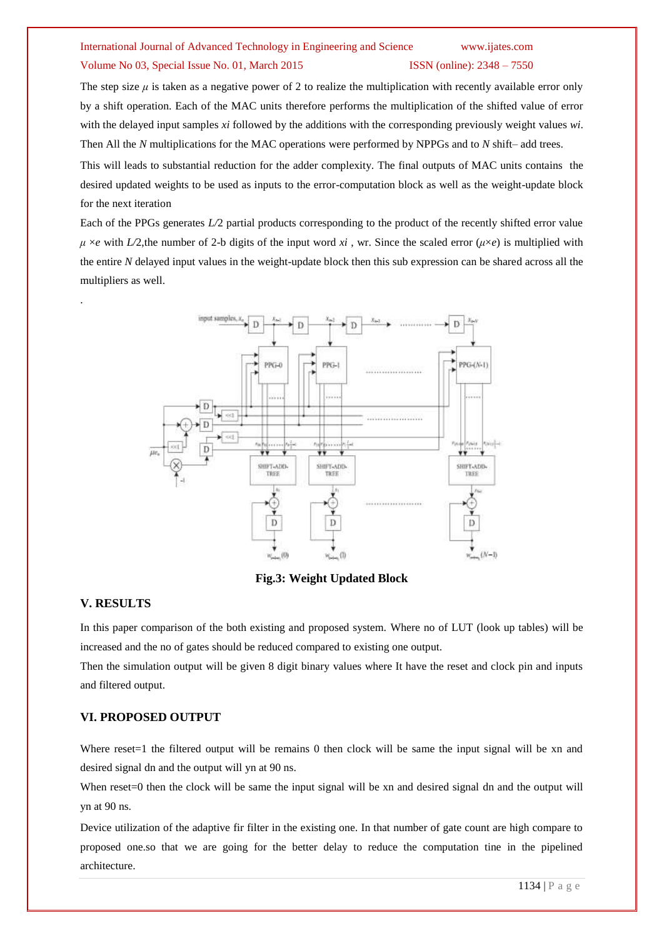# Volume No 03, Special Issue No. 01, March 2015 ISSN (online): 2348 – 7550

The step size  $\mu$  is taken as a negative power of 2 to realize the multiplication with recently available error only by a shift operation. Each of the MAC units therefore performs the multiplication of the shifted value of error with the delayed input samples *xi* followed by the additions with the corresponding previously weight values *wi*. Then All the *N* multiplications for the MAC operations were performed by NPPGs and to *N* shift– add trees.

This will leads to substantial reduction for the adder complexity. The final outputs of MAC units contains the desired updated weights to be used as inputs to the error-computation block as well as the weight-update block for the next iteration

Each of the PPGs generates *L/*2 partial products corresponding to the product of the recently shifted error value  $\mu \times e$  with *L*/2, the number of 2-b digits of the input word *xi*, wr. Since the scaled error ( $\mu \times e$ ) is multiplied with the entire *N* delayed input values in the weight-update block then this sub expression can be shared across all the multipliers as well.



**Fig.3: Weight Updated Block**

#### **V. RESULTS**

.

In this paper comparison of the both existing and proposed system. Where no of LUT (look up tables) will be increased and the no of gates should be reduced compared to existing one output.

Then the simulation output will be given 8 digit binary values where It have the reset and clock pin and inputs and filtered output.

#### **VI. PROPOSED OUTPUT**

Where reset=1 the filtered output will be remains 0 then clock will be same the input signal will be xn and desired signal dn and the output will yn at 90 ns.

When reset=0 then the clock will be same the input signal will be xn and desired signal dn and the output will yn at 90 ns.

Device utilization of the adaptive fir filter in the existing one. In that number of gate count are high compare to proposed one.so that we are going for the better delay to reduce the computation tine in the pipelined architecture.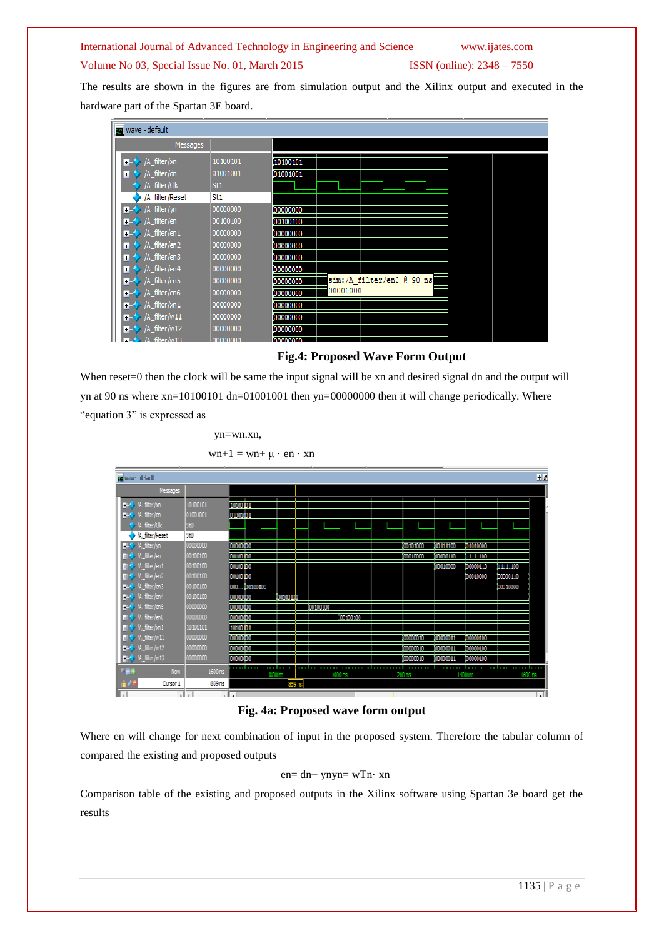#### Volume No 03, Special Issue No. 01, March 2015 ISSN (online): 2348 – 7550

The results are shown in the figures are from simulation output and the Xilinx output and executed in the hardware part of the Spartan 3E board.



#### **Fig.4: Proposed Wave Form Output**

When reset=0 then the clock will be same the input signal will be xn and desired signal dn and the output will yn at 90 ns where xn=10100101 dn=01001001 then yn=00000000 then it will change periodically. Where "equation 3" is expressed as

yn=wn.xn,

 $wn+1 = wn + \mu \cdot en \cdot xn$ 



#### **Fig. 4a: Proposed wave form output**

Where en will change for next combination of input in the proposed system. Therefore the tabular column of compared the existing and proposed outputs

#### en= dn− ynyn= wTn· xn

Comparison table of the existing and proposed outputs in the Xilinx software using Spartan 3e board get the results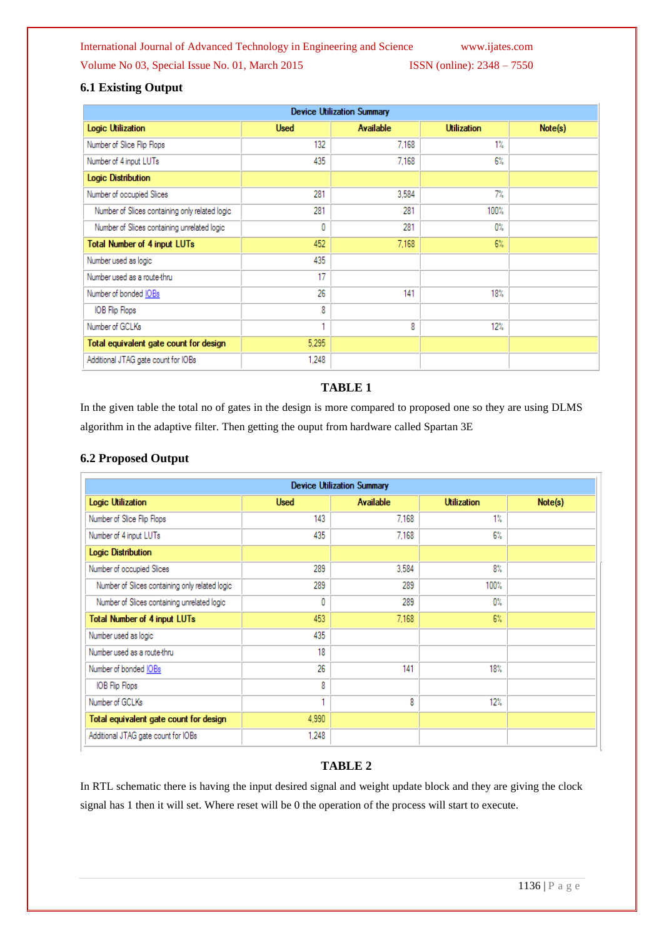#### Volume No 03, Special Issue No. 01, March 2015 ISSN (online):  $2348 - 7550$

#### **6.1 Existing Output**

| <b>Device Utilization Summary</b>              |             |                  |                    |         |  |  |  |  |  |
|------------------------------------------------|-------------|------------------|--------------------|---------|--|--|--|--|--|
| Logic Utilization                              | <b>Used</b> | <b>Available</b> | <b>Utilization</b> | Note(s) |  |  |  |  |  |
| Number of Slice Flip Flops                     | 132         | 7.168            | $1\%$              |         |  |  |  |  |  |
| Number of 4 input LUTs                         | 435         | 7.168            | 6%                 |         |  |  |  |  |  |
| <b>Logic Distribution</b>                      |             |                  |                    |         |  |  |  |  |  |
| Number of occupied Slices                      | 281         | 3.584            | 7%                 |         |  |  |  |  |  |
| Number of Slices containing only related logic | 281         | 281              | 100%               |         |  |  |  |  |  |
| Number of Slices containing unrelated logic    | 0           | 281              | 0%                 |         |  |  |  |  |  |
| <b>Total Number of 4 input LUTs</b>            | 452         | 7,168            | $6\%$              |         |  |  |  |  |  |
| Number used as logic                           | 435         |                  |                    |         |  |  |  |  |  |
| Number used as a route-thru                    | 17          |                  |                    |         |  |  |  |  |  |
| Number of bonded IOBs                          | 26          | 141              | 18%                |         |  |  |  |  |  |
| IOB Flip Flops                                 | 8           |                  |                    |         |  |  |  |  |  |
| Number of GCLKs                                | ٠           | 8                | 12%                |         |  |  |  |  |  |
| Total equivalent gate count for design         | 5,295       |                  |                    |         |  |  |  |  |  |
| Additional JTAG gate count for IOBs            | 1.248       |                  |                    |         |  |  |  |  |  |

#### **TABLE 1**

In the given table the total no of gates in the design is more compared to proposed one so they are using DLMS algorithm in the adaptive filter. Then getting the ouput from hardware called Spartan 3E

#### **6.2 Proposed Output**

|                                                | <b>Device Utilization Summary</b> |                  |                    |         |  |  |
|------------------------------------------------|-----------------------------------|------------------|--------------------|---------|--|--|
| Logic Utilization                              | <b>Used</b>                       | <b>Available</b> | <b>Utilization</b> | Note(s) |  |  |
| Number of Slice Flip Flops                     | 143                               | 7.168            | $1\%$              |         |  |  |
| Number of 4 input LUTs                         | 435                               | 7.168            | $6\%$              |         |  |  |
| <b>Logic Distribution</b>                      |                                   |                  |                    |         |  |  |
| Number of occupied Slices                      | 289                               | 3.584            | $8\%$              |         |  |  |
| Number of Slices containing only related logic | 289                               | 289              | 100%               |         |  |  |
| Number of Slices containing unrelated logic    | 0                                 | 289              | $0\%$              |         |  |  |
| <b>Total Number of 4 input LUTs</b>            | 453                               | 7,168            | 6%                 |         |  |  |
| Number used as logic                           | 435                               |                  |                    |         |  |  |
| Number used as a route-thru                    | 18                                |                  |                    |         |  |  |
| Number of bonded <b>IOBs</b>                   | 26                                | 141              | 18%                |         |  |  |
| IOB Flip Flops                                 | 8                                 |                  |                    |         |  |  |
| Number of GCLKs                                | ۰                                 | 8                | 12%                |         |  |  |
| Total equivalent gate count for design         | 4.990                             |                  |                    |         |  |  |
| Additional JTAG gate count for IOBs            | 1.248                             |                  |                    |         |  |  |

#### **TABLE 2**

In RTL schematic there is having the input desired signal and weight update block and they are giving the clock signal has 1 then it will set. Where reset will be 0 the operation of the process will start to execute.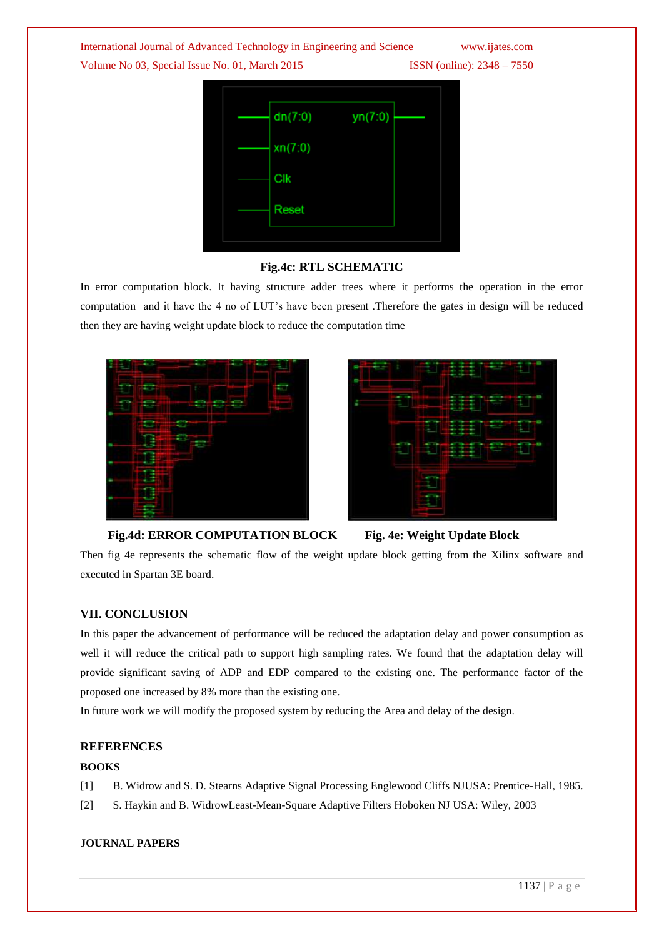Volume No 03, Special Issue No. 01, March 2015 ISSN (online): 2348 – 7550

| dn(7:0) | yn(7:0) |  |
|---------|---------|--|
| xn(7:0) |         |  |
| Clk     |         |  |
| Reset   |         |  |
|         |         |  |

#### **Fig.4c: RTL SCHEMATIC**

In error computation block. It having structure adder trees where it performs the operation in the error computation and it have the 4 no of LUT"s have been present .Therefore the gates in design will be reduced then they are having weight update block to reduce the computation time





#### **Fig.4d: ERROR COMPUTATION BLOCK Fig. 4e: Weight Update Block**



Then fig 4e represents the schematic flow of the weight update block getting from the Xilinx software and executed in Spartan 3E board.

#### **VII. CONCLUSION**

In this paper the advancement of performance will be reduced the adaptation delay and power consumption as well it will reduce the critical path to support high sampling rates. We found that the adaptation delay will provide significant saving of ADP and EDP compared to the existing one. The performance factor of the proposed one increased by 8% more than the existing one.

In future work we will modify the proposed system by reducing the Area and delay of the design.

#### **REFERENCES**

#### **BOOKS**

- [1] B. Widrow and S. D. Stearns Adaptive Signal Processing Englewood Cliffs NJUSA: Prentice-Hall, 1985.
- [2] S. Haykin and B. WidrowLeast-Mean-Square Adaptive Filters Hoboken NJ USA: Wiley, 2003

#### **JOURNAL PAPERS**